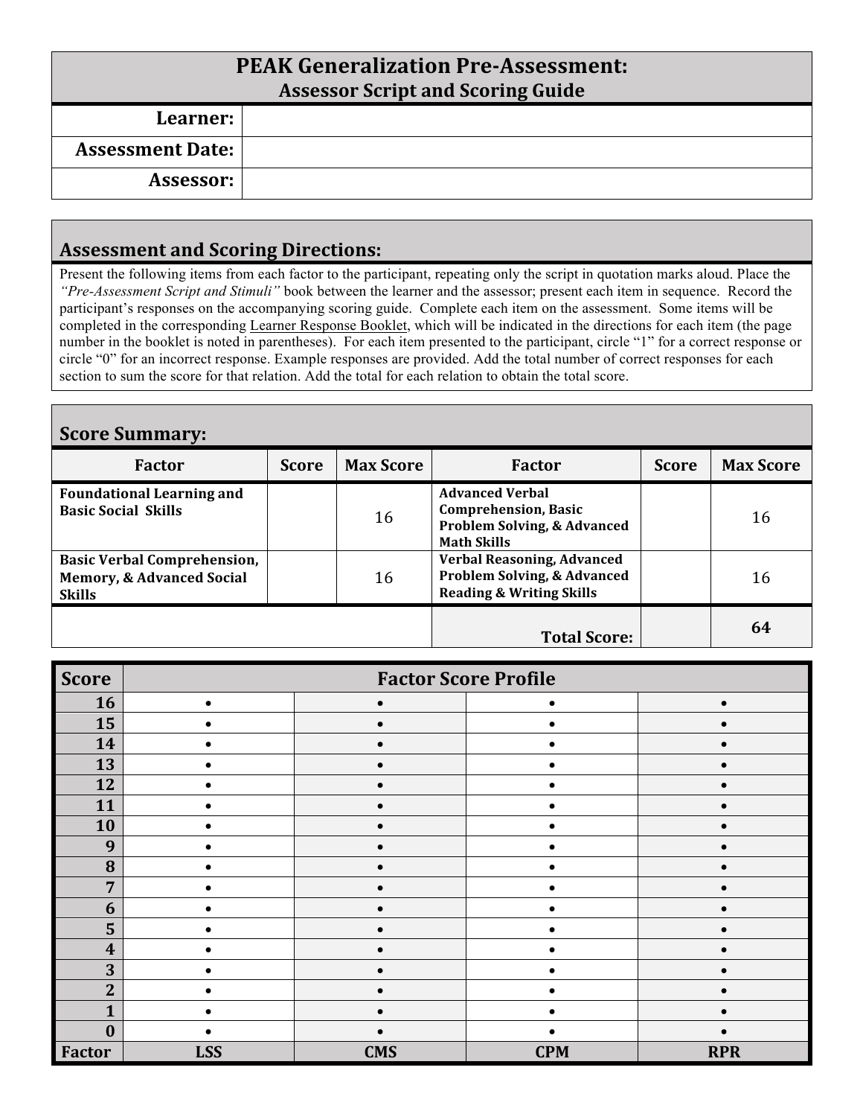# **PEAK Generalization Pre-Assessment: Assessor Script and Scoring Guide Learner: Assessment Date: Assessor:**

#### **Assessment and Scoring Directions:**

Present the following items from each factor to the participant, repeating only the script in quotation marks aloud. Place the *"Pre-Assessment Script and Stimuli"* book between the learner and the assessor; present each item in sequence. Record the participant's responses on the accompanying scoring guide. Complete each item on the assessment. Some items will be completed in the corresponding Learner Response Booklet, which will be indicated in the directions for each item (the page number in the booklet is noted in parentheses). For each item presented to the participant, circle "1" for a correct response or circle "0" for an incorrect response. Example responses are provided. Add the total number of correct responses for each section to sum the score for that relation. Add the total for each relation to obtain the total score.

| <b>Score Summary:</b>                                                                       |              |                  |                                                                                                                       |              |                  |  |
|---------------------------------------------------------------------------------------------|--------------|------------------|-----------------------------------------------------------------------------------------------------------------------|--------------|------------------|--|
| <b>Factor</b>                                                                               | <b>Score</b> | <b>Max Score</b> | <b>Factor</b>                                                                                                         | <b>Score</b> | <b>Max Score</b> |  |
| <b>Foundational Learning and</b><br><b>Basic Social Skills</b>                              |              | 16               | <b>Advanced Verbal</b><br><b>Comprehension, Basic</b><br><b>Problem Solving, &amp; Advanced</b><br><b>Math Skills</b> |              | 16               |  |
| <b>Basic Verbal Comprehension,</b><br><b>Memory, &amp; Advanced Social</b><br><b>Skills</b> |              | 16               | Verbal Reasoning, Advanced<br><b>Problem Solving, &amp; Advanced</b><br><b>Reading &amp; Writing Skills</b>           |              | 16               |  |
|                                                                                             |              |                  | <b>Total Score:</b>                                                                                                   |              | 64               |  |

| <b>Score</b>     | <b>Factor Score Profile</b> |            |            |            |  |
|------------------|-----------------------------|------------|------------|------------|--|
| 16               |                             |            |            |            |  |
| 15               |                             |            |            |            |  |
| 14               |                             |            |            |            |  |
| 13               |                             |            |            |            |  |
| 12               |                             |            |            |            |  |
| 11               |                             |            |            |            |  |
| 10               |                             |            |            |            |  |
| 9                |                             |            |            |            |  |
| 8                |                             |            |            |            |  |
| 7                |                             |            |            |            |  |
| 6                |                             |            |            |            |  |
| 5                |                             |            |            |            |  |
| $\boldsymbol{4}$ |                             |            |            |            |  |
| 3                |                             |            |            |            |  |
| $\overline{2}$   |                             |            |            |            |  |
|                  |                             |            |            |            |  |
| 0                |                             |            |            |            |  |
| <b>Factor</b>    | <b>LSS</b>                  | <b>CMS</b> | <b>CPM</b> | <b>RPR</b> |  |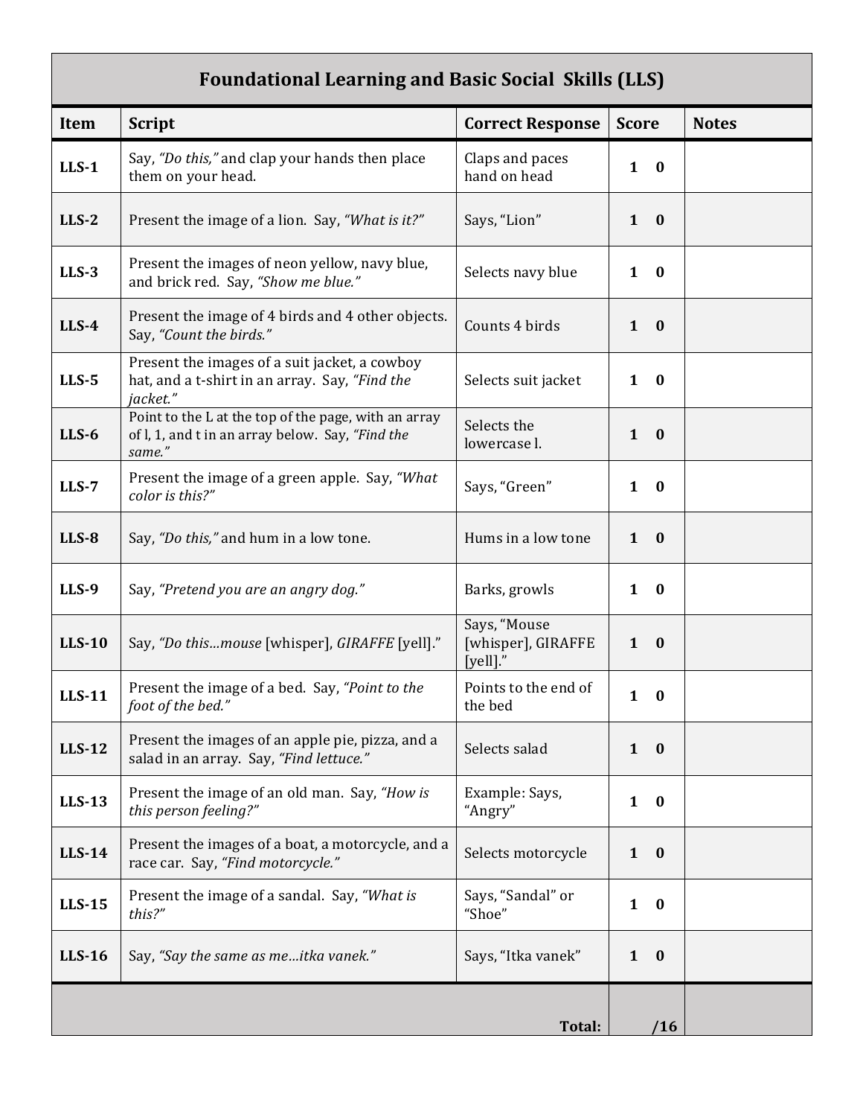### Foundational Learning and Basic Social Skills (LLS)

| Item          | <b>Script</b>                                                                                                      | <b>Correct Response</b>                        | <b>Score</b>                 | <b>Notes</b> |
|---------------|--------------------------------------------------------------------------------------------------------------------|------------------------------------------------|------------------------------|--------------|
| $LLS-1$       | Say, "Do this," and clap your hands then place<br>them on your head.                                               | Claps and paces<br>hand on head                | $\mathbf{1}$<br>$\bf{0}$     |              |
| $LLS-2$       | Present the image of a lion. Say, "What is it?"                                                                    | Says, "Lion"                                   | $1 \quad 0$                  |              |
| $LLS-3$       | Present the images of neon yellow, navy blue,<br>and brick red. Say, "Show me blue."                               | Selects navy blue                              | $\bf{0}$<br>$\mathbf{1}$     |              |
| $LLS-4$       | Present the image of 4 birds and 4 other objects.<br>Say, "Count the birds."                                       | Counts 4 birds                                 | $\mathbf{1}$<br>$\mathbf{0}$ |              |
| $LLS-5$       | Present the images of a suit jacket, a cowboy<br>hat, and a t-shirt in an array. Say, "Find the<br>jacket."        | Selects suit jacket                            | $\mathbf{1}$<br>$\mathbf{0}$ |              |
| $LLS-6$       | Point to the L at the top of the page, with an array<br>of l, 1, and t in an array below. Say, "Find the<br>same." | Selects the<br>lowercase l.                    | $\mathbf{1}$<br>$\bf{0}$     |              |
| $LLS-7$       | Present the image of a green apple. Say, "What<br>color is this?"                                                  | Says, "Green"                                  | $\mathbf{1}$<br>$\bf{0}$     |              |
| $LLS-8$       | Say, "Do this," and hum in a low tone.                                                                             | Hums in a low tone                             | $1 \quad 0$                  |              |
| <b>LLS-9</b>  | Say, "Pretend you are an angry dog."                                                                               | Barks, growls                                  | $\mathbf{1}$<br>$\bf{0}$     |              |
| <b>LLS-10</b> | Say, "Do thismouse [whisper], GIRAFFE [yell]."                                                                     | Says, "Mouse<br>[whisper], GIRAFFE<br>[yell]." | $1 \quad 0$                  |              |
| <b>LLS-11</b> | Present the image of a bed. Say, "Point to the<br>foot of the bed."                                                | Points to the end of<br>the bed                | $\mathbf{1}$<br>$\bf{0}$     |              |
| <b>LLS-12</b> | Present the images of an apple pie, pizza, and a<br>salad in an array. Say, "Find lettuce."                        | Selects salad                                  | $1 \quad 0$                  |              |
| <b>LLS-13</b> | Present the image of an old man. Say, "How is<br>this person feeling?"                                             | Example: Says,<br>"Angry"                      | $\mathbf{1}$<br>$\bf{0}$     |              |
| <b>LLS-14</b> | Present the images of a boat, a motorcycle, and a<br>race car. Say, "Find motorcycle."                             | Selects motorcycle                             | $\mathbf{1}$<br>$\mathbf{0}$ |              |
| <b>LLS-15</b> | Present the image of a sandal. Say, "What is<br>this?"                                                             | Says, "Sandal" or<br>"Shoe"                    | $\mathbf{1}$<br>$\bf{0}$     |              |
| $LLS-16$      | Say, "Say the same as meitka vanek."                                                                               | Says, "Itka vanek"                             | $1 \quad 0$                  |              |
|               |                                                                                                                    | Total:                                         | /16                          |              |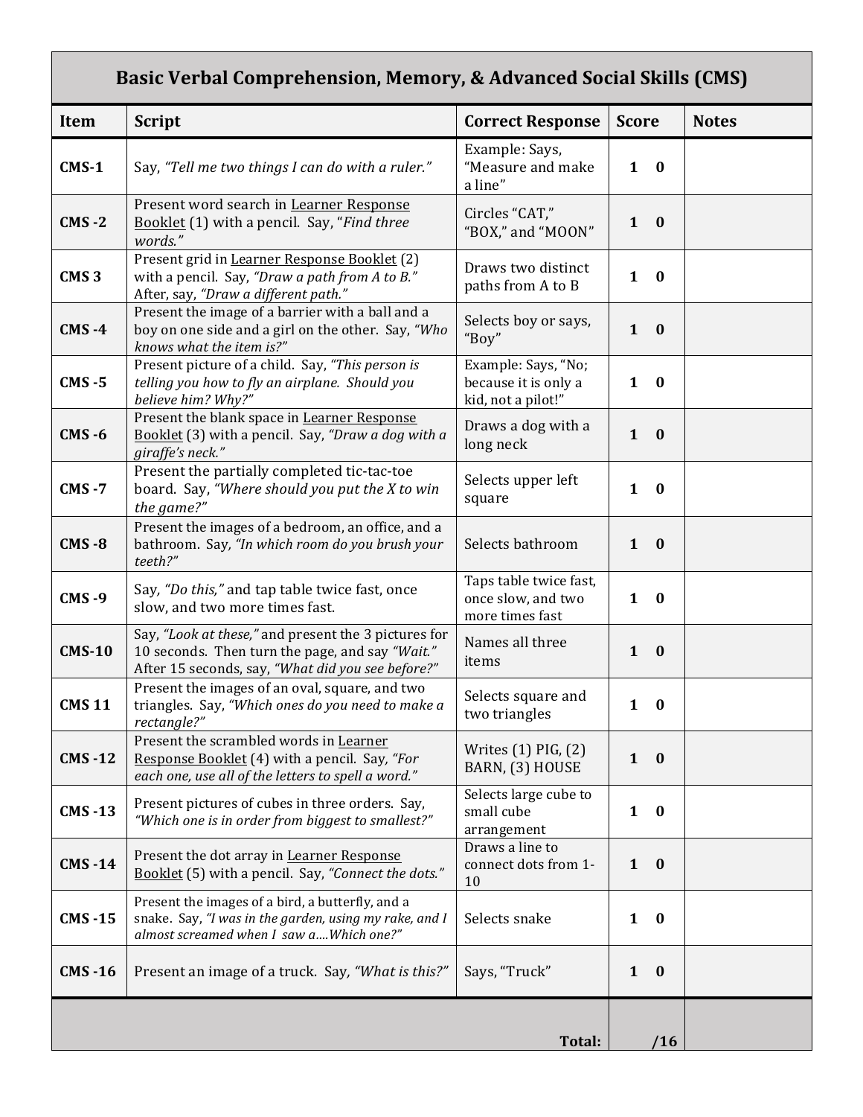## Basic Verbal Comprehension, Memory, & Advanced Social Skills (CMS)

| Item             | <b>Script</b>                                                                                                                                                | <b>Correct Response</b>                                           | <b>Score</b>             | <b>Notes</b> |
|------------------|--------------------------------------------------------------------------------------------------------------------------------------------------------------|-------------------------------------------------------------------|--------------------------|--------------|
| $CMS-1$          | Say, "Tell me two things I can do with a ruler."                                                                                                             | Example: Says,<br>"Measure and make<br>a line"                    | $\mathbf{1}$<br>$\bf{0}$ |              |
| $CMS - 2$        | Present word search in Learner Response<br>Booklet (1) with a pencil. Say, "Find three<br>words."                                                            | Circles "CAT,"<br>"BOX," and "MOON"                               | $\mathbf{1}$<br>$\bf{0}$ |              |
| CMS <sub>3</sub> | Present grid in Learner Response Booklet (2)<br>with a pencil. Say, "Draw a path from A to B."<br>After, say, "Draw a different path."                       | Draws two distinct<br>paths from A to B                           | $\mathbf{1}$<br>$\bf{0}$ |              |
| $CMS -4$         | Present the image of a barrier with a ball and a<br>boy on one side and a girl on the other. Say, "Who<br>knows what the item is?"                           | Selects boy or says,<br>"Boy"                                     | $\mathbf{1}$<br>$\bf{0}$ |              |
| $CMS - 5$        | Present picture of a child. Say, "This person is<br>telling you how to fly an airplane. Should you<br>believe him? Why?"                                     | Example: Says, "No;<br>because it is only a<br>kid, not a pilot!" | $\mathbf{1}$<br>$\bf{0}$ |              |
| $CMS - 6$        | Present the blank space in Learner Response<br>Booklet (3) with a pencil. Say, "Draw a dog with a<br>giraffe's neck."                                        | Draws a dog with a<br>long neck                                   | $\mathbf{1}$<br>$\bf{0}$ |              |
| <b>CMS-7</b>     | Present the partially completed tic-tac-toe<br>board. Say, "Where should you put the X to win<br>the game?"                                                  | Selects upper left<br>square                                      | $\mathbf{1}$<br>$\bf{0}$ |              |
| <b>CMS-8</b>     | Present the images of a bedroom, an office, and a<br>bathroom. Say, "In which room do you brush your<br>teeth?"                                              | Selects bathroom                                                  | $\mathbf{1}$<br>$\bf{0}$ |              |
| <b>CMS-9</b>     | Say, "Do this," and tap table twice fast, once<br>slow, and two more times fast.                                                                             | Taps table twice fast,<br>once slow, and two<br>more times fast   | $\mathbf{1}$<br>$\bf{0}$ |              |
| <b>CMS-10</b>    | Say, "Look at these," and present the 3 pictures for<br>10 seconds. Then turn the page, and say "Wait."<br>After 15 seconds, say, "What did you see before?" | Names all three<br>items                                          | $\mathbf{1}$<br>$\bf{0}$ |              |
| <b>CMS11</b>     | Present the images of an oval, square, and two<br>triangles. Say, "Which ones do you need to make a<br>rectangle?"                                           | Selects square and<br>two triangles                               | $\mathbf{1}$<br>$\bf{0}$ |              |
| <b>CMS-12</b>    | Present the scrambled words in Learner<br>Response Booklet (4) with a pencil. Say, "For<br>each one, use all of the letters to spell a word."                | Writes $(1)$ PIG, $(2)$<br>BARN, (3) HOUSE                        | $\mathbf{1}$<br>$\bf{0}$ |              |
| <b>CMS-13</b>    | Present pictures of cubes in three orders. Say,<br>"Which one is in order from biggest to smallest?"                                                         | Selects large cube to<br>small cube<br>arrangement                | $\mathbf{1}$<br>$\bf{0}$ |              |
| <b>CMS-14</b>    | Present the dot array in Learner Response<br>Booklet (5) with a pencil. Say, "Connect the dots."                                                             | Draws a line to<br>connect dots from 1-<br>10                     | $\mathbf{1}$<br>$\bf{0}$ |              |
| <b>CMS-15</b>    | Present the images of a bird, a butterfly, and a<br>snake. Say, "I was in the garden, using my rake, and I<br>almost screamed when I saw aWhich one?"        | Selects snake                                                     | $\mathbf{1}$<br>$\bf{0}$ |              |
| <b>CMS-16</b>    | Present an image of a truck. Say, "What is this?"                                                                                                            | Says, "Truck"                                                     | $\mathbf{1}$<br>$\bf{0}$ |              |
|                  |                                                                                                                                                              | Total:                                                            | /16                      |              |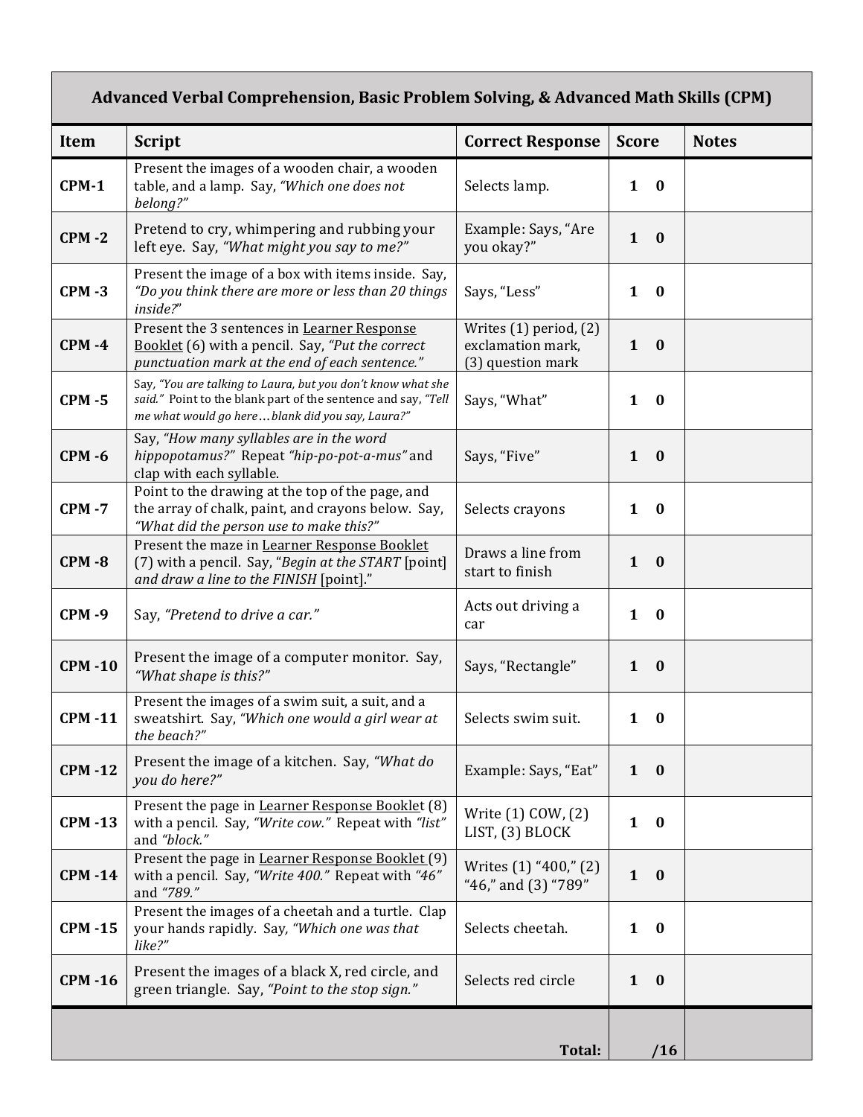## Advanced Verbal Comprehension, Basic Problem Solving, & Advanced Math Skills (CPM)

| <b>Item</b>   | <b>Script</b>                                                                                                                                                                     | <b>Correct Response</b>                                              | <b>Score</b>                 | <b>Notes</b> |
|---------------|-----------------------------------------------------------------------------------------------------------------------------------------------------------------------------------|----------------------------------------------------------------------|------------------------------|--------------|
| $CPM-1$       | Present the images of a wooden chair, a wooden<br>table, and a lamp. Say, "Which one does not<br>belong?"                                                                         | Selects lamp.                                                        | $1 \quad 0$                  |              |
| <b>CPM-2</b>  | Pretend to cry, whimpering and rubbing your<br>left eye. Say, "What might you say to me?"                                                                                         | Example: Says, "Are<br>you okay?"                                    | $1 \quad 0$                  |              |
| <b>CPM-3</b>  | Present the image of a box with items inside. Say,<br>"Do you think there are more or less than 20 things<br>inside?"                                                             | Says, "Less"                                                         | $1\quad 0$                   |              |
| $CPM -4$      | Present the 3 sentences in Learner Response<br>Booklet (6) with a pencil. Say, "Put the correct<br>punctuation mark at the end of each sentence."                                 | Writes $(1)$ period, $(2)$<br>exclamation mark,<br>(3) question mark | $\mathbf{1}$<br>$\mathbf{0}$ |              |
| <b>CPM -5</b> | Say, "You are talking to Laura, but you don't know what she<br>said." Point to the blank part of the sentence and say, "Tell<br>me what would go here  blank did you say, Laura?" | Says, "What"                                                         | $\mathbf{1}$<br>$\mathbf{0}$ |              |
| <b>CPM -6</b> | Say, "How many syllables are in the word<br>hippopotamus?" Repeat "hip-po-pot-a-mus" and<br>clap with each syllable.                                                              | Says, "Five"                                                         | $1 \quad 0$                  |              |
| $CPM - 7$     | Point to the drawing at the top of the page, and<br>the array of chalk, paint, and crayons below. Say,<br>"What did the person use to make this?"                                 | Selects crayons                                                      | $\mathbf{1}$<br>$\bf{0}$     |              |
| $CPM - 8$     | Present the maze in Learner Response Booklet<br>(7) with a pencil. Say, "Begin at the START [point]<br>and draw a line to the FINISH [point]."                                    | Draws a line from<br>start to finish                                 | $1 \quad 0$                  |              |
| <b>CPM-9</b>  | Say, "Pretend to drive a car."                                                                                                                                                    | Acts out driving a<br>car                                            | $\mathbf{1}$<br>$\bf{0}$     |              |
| <b>CPM-10</b> | Present the image of a computer monitor. Say,<br>"What shape is this?"                                                                                                            | Says, "Rectangle"                                                    | $\mathbf{1}$<br>$\mathbf{0}$ |              |
| <b>CPM-11</b> | Present the images of a swim suit, a suit, and a<br>sweatshirt. Say, "Which one would a girl wear at<br>the beach?"                                                               | Selects swim suit.                                                   | $\mathbf{1}$<br>- 0          |              |
| <b>CPM-12</b> | Present the image of a kitchen. Say, "What do<br>you do here?"                                                                                                                    | Example: Says, "Eat"                                                 | $\mathbf{0}$<br>$\mathbf{1}$ |              |
| <b>CPM-13</b> | Present the page in Learner Response Booklet (8)<br>with a pencil. Say, "Write cow." Repeat with "list"<br>and "block."                                                           | Write (1) COW, (2)<br>LIST, (3) BLOCK                                | $\mathbf{1}$<br>$\bf{0}$     |              |
| <b>CPM-14</b> | Present the page in Learner Response Booklet (9)<br>with a pencil. Say, "Write 400." Repeat with "46"<br>and "789."                                                               | Writes (1) "400," (2)<br>"46," and (3) "789"                         | $1 \quad 0$                  |              |
| <b>CPM-15</b> | Present the images of a cheetah and a turtle. Clap<br>your hands rapidly. Say, "Which one was that<br>like?"                                                                      | Selects cheetah.                                                     | $\mathbf{1}$<br>$\bf{0}$     |              |
| <b>CPM-16</b> | Present the images of a black X, red circle, and<br>green triangle. Say, "Point to the stop sign."                                                                                | Selects red circle                                                   | $\bf{0}$<br>$\mathbf{1}$     |              |
|               |                                                                                                                                                                                   | Total:                                                               | /16                          |              |